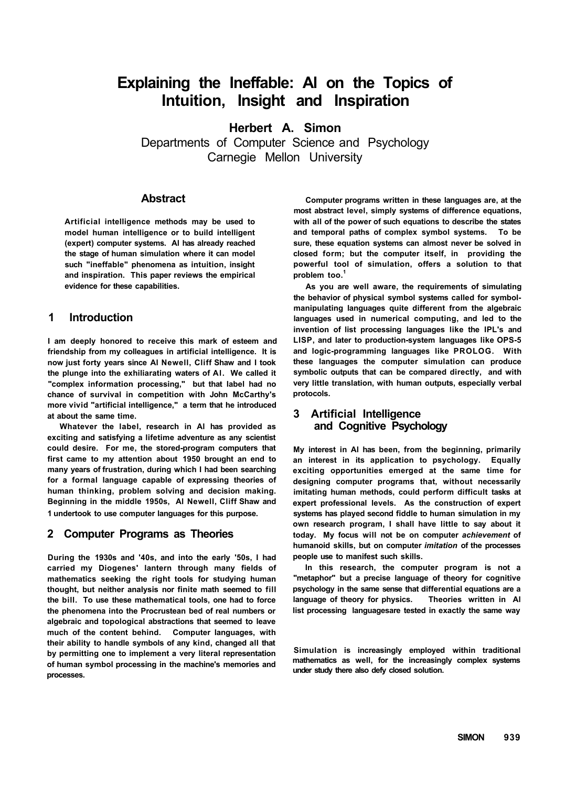# **Explaining the Ineffable: Al on the Topics of Intuition, Insight and Inspiration**

**Herbert A. Simon** 

Departments of Computer Science and Psychology Carnegie Mellon University

# **Abstract**

**Artificial intelligence methods may be used to model human intelligence or to build intelligent (expert) computer systems. Al has already reached the stage of human simulation where it can model such "ineffable" phenomena as intuition, insight and inspiration. This paper reviews the empirical evidence for these capabilities.** 

# **1 Introduction**

**I am deeply honored to receive this mark of esteem and friendship from my colleagues in artificial intelligence. It is now just forty years since Al Newell, Cliff Shaw and I took the plunge into the exhiliarating waters of Al. We called it "complex information processing," but that label had no chance of survival in competition with John McCarthy's more vivid "artificial intelligence," a term that he introduced at about the same time.** 

**Whatever the label, research in Al has provided as exciting and satisfying a lifetime adventure as any scientist could desire. For me, the stored-program computers that first came to my attention about 1950 brought an end to many years of frustration, during which I had been searching for a formal language capable of expressing theories of human thinking, problem solving and decision making. Beginning in the middle 1950s, Al Newell, Cliff Shaw and 1 undertook to use computer languages for this purpose.** 

# **2 Computer Programs as Theories**

**During the 1930s and '40s, and into the early '50s, I had carried my Diogenes' lantern through many fields of mathematics seeking the right tools for studying human thought, but neither analysis nor finite math seemed to fill the bill. To use these mathematical tools, one had to force the phenomena into the Procrustean bed of real numbers or algebraic and topological abstractions that seemed to leave much of the content behind. Computer languages, with their ability to handle symbols of any kind, changed all that by permitting one to implement a very literal representation of human symbol processing in the machine's memories and processes.** 

**Computer programs written in these languages are, at the most abstract level, simply systems of difference equations, with all of the power of such equations to describe the states and temporal paths of complex symbol systems. To be sure, these equation systems can almost never be solved in closed form; but the computer itself, in providing the powerful tool of simulation, offers a solution to that problem too.<sup>1</sup>**

**As you are well aware, the requirements of simulating the behavior of physical symbol systems called for symbolmanipulating languages quite different from the algebraic languages used in numerical computing, and led to the invention of list processing languages like the IPL's and LISP, and later to production-system languages like OPS-5 and logic-programming languages like PROLOG. With these languages the computer simulation can produce symbolic outputs that can be compared directly, and with very little translation, with human outputs, especially verbal protocols.** 

# **3 Artificial Intelligence and Cognitive Psychology**

**My interest in Al has been, from the beginning, primarily an interest in its application to psychology. Equally exciting opportunities emerged at the same time for designing computer programs that, without necessarily imitating human methods, could perform difficult tasks at expert professional levels. As the construction of expert systems has played second fiddle to human simulation in my own research program, I shall have little to say about it today. My focus will not be on computer** *achievement* **of humanoid skills, but on computer** *imitation* **of the processes people use to manifest such skills.** 

**In this research, the computer program is not a "metaphor" but a precise language of theory for cognitive psychology in the same sense that differential equations are a language of theory for physics. Theories written in Al list processing languagesare tested in exactly the same way** 

**Simulation is increasingly employed within traditional mathematics as well, for the increasingly complex systems under study there also defy closed solution.**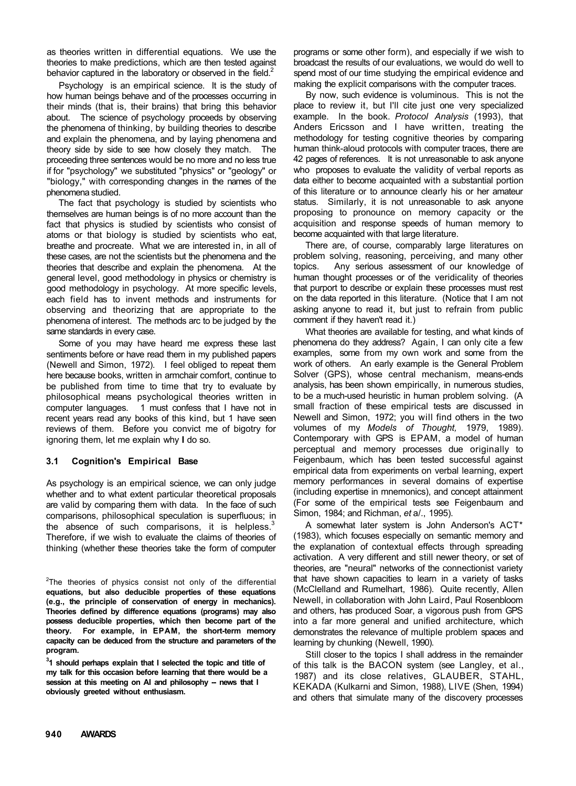as theories written in differential equations. We use the theories to make predictions, which are then tested against behavior captured in the laboratory or observed in the field.<sup>2</sup>

Psychology is an empirical science. It is the study of how human beings behave and of the processes occurring in their minds (that is, their brains) that bring this behavior about. The science of psychology proceeds by observing the phenomena of thinking, by building theories to describe and explain the phenomena, and by laying phenomena and theory side by side to see how closely they match. The proceeding three sentences would be no more and no less true if for "psychology" we substituted "physics" or "geology" or "biology," with corresponding changes in the names of the phenomena studied.

The fact that psychology is studied by scientists who themselves are human beings is of no more account than the fact that physics is studied by scientists who consist of atoms or that biology is studied by scientists who eat, breathe and procreate. What we are interested in, in all of these cases, are not the scientists but the phenomena and the theories that describe and explain the phenomena. At the general level, good methodology in physics or chemistry is good methodology in psychology. At more specific levels, each field has to invent methods and instruments for observing and theorizing that are appropriate to the phenomena of interest. The methods arc to be judged by the same standards in every case.

Some of you may have heard me express these last sentiments before or have read them in my published papers (Newell and Simon, 1972). I feel obliged to repeat them here because books, written in armchair comfort, continue to be published from time to time that try to evaluate by philosophical means psychological theories written in computer languages. 1 must confess that I have not in recent years read any books of this kind, but 1 have seen reviews of them. Before you convict me of bigotry for ignoring them, let me explain why **I** do so.

#### **3.1 Cognition's Empirical Base**

As psychology is an empirical science, we can only judge whether and to what extent particular theoretical proposals are valid by comparing them with data. In the face of such comparisons, philosophical speculation is superfluous; in the absence of such comparisons, it is helpless. $3$ Therefore, if we wish to evaluate the claims of theories of thinking (whether these theories take the form of computer

 $2$ The theories of physics consist not only of the differential **equations, but also deducible properties of these equations (e.g., the principle of conservation of energy in mechanics). Theories defined by difference equations (programs) may also possess deducible properties, which then become part of the theory. For example, in EPAM, the short-term memory capacity can be deduced from the structure and parameters of the program.** 

**3 1 should perhaps explain that I selected the topic and title of my talk for this occasion before learning that there would be a**  session at this meeting on AI and philosophy -- news that I **obviously greeted without enthusiasm.** 

programs or some other form), and especially if we wish to broadcast the results of our evaluations, we would do well to spend most of our time studying the empirical evidence and making the explicit comparisons with the computer traces.

By now, such evidence is voluminous. This is not the place to review it, but I'll cite just one very specialized example. In the book. *Protocol Analysis* (1993), that Anders Ericsson and I have written, treating the methodology for testing cognitive theories by comparing human think-aloud protocols with computer traces, there are 42 pages of references. It is not unreasonable to ask anyone who proposes to evaluate the validity of verbal reports as data either to become acquainted with a substantial portion of this literature or to announce clearly his or her amateur status. Similarly, it is not unreasonable to ask anyone proposing to pronounce on memory capacity or the acquisition and response speeds of human memory to become acquainted with that large literature.

There are, of course, comparably large literatures on problem solving, reasoning, perceiving, and many other topics. Any serious assessment of our knowledge of human thought processes or of the veridicality of theories that purport to describe or explain these processes must rest on the data reported in this literature. (Notice that I am not asking anyone to read it, but just to refrain from public comment if they haven't read it.)

What theories are available for testing, and what kinds of phenomena do they address? Again, I can only cite a few examples, some from my own work and some from the work of others. An early example is the General Problem Solver (GPS), whose central mechanism, means-ends analysis, has been shown empirically, in numerous studies, to be a much-used heuristic in human problem solving. (A small fraction of these empirical tests are discussed in Newell and Simon, 1972; you will find others in the two volumes of my *Models of Thought,* 1979, 1989). Contemporary with GPS is EPAM, a model of human perceptual and memory processes due originally to Feigenbaum, which has been tested successful against empirical data from experiments on verbal learning, expert memory performances in several domains of expertise (including expertise in mnemonics), and concept attainment (For some of the empirical tests see Feigenbaum and Simon, 1984; and Richman, *et* a/., 1995).

A somewhat later system is John Anderson's ACT\* (1983), which focuses especially on semantic memory and the explanation of contextual effects through spreading activation. A very different and still newer theory, or set of theories, are "neural" networks of the connectionist variety that have shown capacities to learn in a variety of tasks (McClelland and Rumelhart, 1986). Quite recently, Allen Newell, in collaboration with John Laird, Paul Rosenbloom and others, has produced Soar, a vigorous push from GPS into a far more general and unified architecture, which demonstrates the relevance of multiple problem spaces and learning by chunking (Newell, 1990).

Still closer to the topics I shall address in the remainder of this talk is the BACON system (see Langley, et al., 1987) and its close relatives, GLAUBER, STAHL, KEKADA (Kulkarni and Simon, 1988), LIVE (Shen, 1994) and others that simulate many of the discovery processes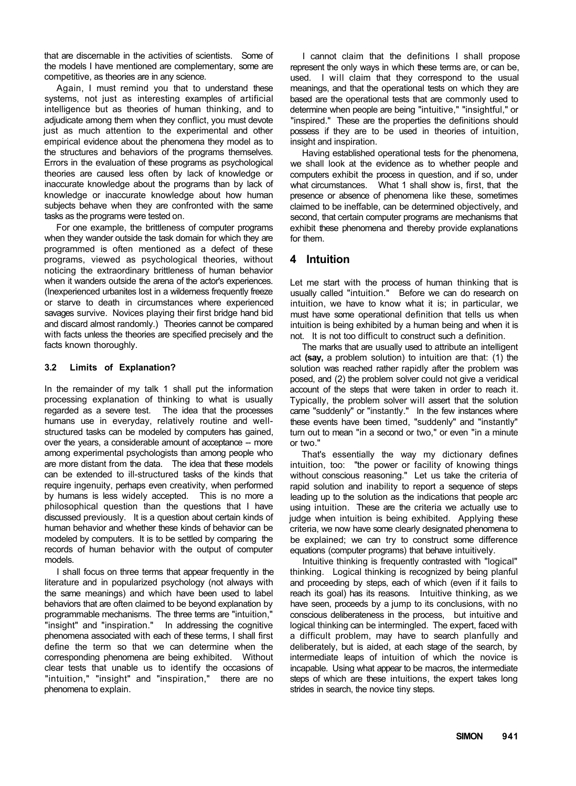that are discernable in the activities of scientists. Some of the models I have mentioned are complementary, some are competitive, as theories are in any science.

Again, I must remind you that to understand these systems, not just as interesting examples of artificial intelligence but as theories of human thinking, and to adjudicate among them when they conflict, you must devote just as much attention to the experimental and other empirical evidence about the phenomena they model as to the structures and behaviors of the programs themselves. Errors in the evaluation of these programs as psychological theories are caused less often by lack of knowledge or inaccurate knowledge about the programs than by lack of knowledge or inaccurate knowledge about how human subjects behave when they are confronted with the same tasks as the programs were tested on.

For one example, the brittleness of computer programs when they wander outside the task domain for which they are programmed is often mentioned as a defect of these programs, viewed as psychological theories, without noticing the extraordinary brittleness of human behavior when it wanders outside the arena of the actor's experiences. (Inexperienced urbanites lost in a wilderness frequently freeze or starve to death in circumstances where experienced savages survive. Novices playing their first bridge hand bid and discard almost randomly.) Theories cannot be compared with facts unless the theories are specified precisely and the facts known thoroughly.

#### **3.2 Limits of Explanation?**

In the remainder of my talk 1 shall put the information processing explanation of thinking to what is usually regarded as a severe test. The idea that the processes humans use in everyday, relatively routine and wellstructured tasks can be modeled by computers has gained, over the years, a considerable amount of acceptance -- more among experimental psychologists than among people who are more distant from the data. The idea that these models can be extended to ill-structured tasks of the kinds that require ingenuity, perhaps even creativity, when performed by humans is less widely accepted. This is no more a philosophical question than the questions that I have discussed previously. It is a question about certain kinds of human behavior and whether these kinds of behavior can be modeled by computers. It is to be settled by comparing the records of human behavior with the output of computer models.

I shall focus on three terms that appear frequently in the literature and in popularized psychology (not always with the same meanings) and which have been used to label behaviors that are often claimed to be beyond explanation by programmable mechanisms. The three terms are "intuition," "insight" and "inspiration." In addressing the cognitive phenomena associated with each of these terms, I shall first define the term so that we can determine when the corresponding phenomena are being exhibited. Without clear tests that unable us to identify the occasions of "intuition," "insight" and "inspiration," there are no phenomena to explain.

I cannot claim that the definitions I shall propose represent the only ways in which these terms are, or can be, used. I will claim that they correspond to the usual meanings, and that the operational tests on which they are based are the operational tests that are commonly used to determine when people are being "intuitive," "insightful," or "inspired." These are the properties the definitions should possess if they are to be used in theories of intuition, insight and inspiration.

Having established operational tests for the phenomena, we shall look at the evidence as to whether people and computers exhibit the process in question, and if so, under what circumstances. What 1 shall show is, first, that the presence or absence of phenomena like these, sometimes claimed to be ineffable, can be determined objectively, and second, that certain computer programs are mechanisms that exhibit these phenomena and thereby provide explanations for them.

# **4 Intuition**

Let me start with the process of human thinking that is usually called "intuition." Before we can do research on intuition, we have to know what it is; in particular, we must have some operational definition that tells us when intuition is being exhibited by a human being and when it is not. It is not too difficult to construct such a definition.

The marks that are usually used to attribute an intelligent act **(say,** a problem solution) to intuition are that: (1) the solution was reached rather rapidly after the problem was posed, and (2) the problem solver could not give a veridical account of the steps that were taken in order to reach it. Typically, the problem solver will assert that the solution came "suddenly" or "instantly." In the few instances where these events have been timed, "suddenly" and "instantly" turn out to mean "in a second or two," or even "in a minute or two."

That's essentially the way my dictionary defines intuition, too: "the power or facility of knowing things without conscious reasoning." Let us take the criteria of rapid solution and inability to report a sequence of steps leading up to the solution as the indications that people arc using intuition. These are the criteria we actually use to judge when intuition is being exhibited. Applying these criteria, we now have some clearly designated phenomena to be explained; we can try to construct some difference equations (computer programs) that behave intuitively.

Intuitive thinking is frequently contrasted with "logical" thinking. Logical thinking is recognized by being planful and proceeding by steps, each of which (even if it fails to reach its goal) has its reasons. Intuitive thinking, as we have seen, proceeds by a jump to its conclusions, with no conscious deliberateness in the process, but intuitive and logical thinking can be intermingled. The expert, faced with a difficult problem, may have to search planfully and deliberately, but is aided, at each stage of the search, by intermediate leaps of intuition of which the novice is incapable. Using what appear to be macros, the intermediate steps of which are these intuitions, the expert takes long strides in search, the novice tiny steps.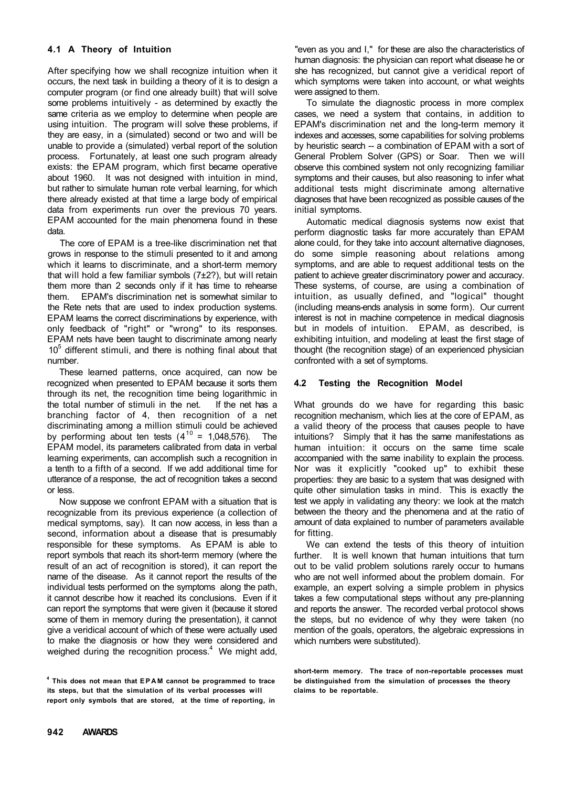#### **4.1 A Theory of Intuition**

After specifying how we shall recognize intuition when it occurs, the next task in building a theory of it is to design a computer program (or find one already built) that will solve some problems intuitively - as determined by exactly the same criteria as we employ to determine when people are using intuition. The program will solve these problems, if they are easy, in a (simulated) second or two and will be unable to provide a (simulated) verbal report of the solution process. Fortunately, at least one such program already exists: the EPAM program, which first became operative about 1960. It was not designed with intuition in mind, but rather to simulate human rote verbal learning, for which there already existed at that time a large body of empirical data from experiments run over the previous 70 years. EPAM accounted for the main phenomena found in these data.

The core of EPAM is a tree-like discrimination net that grows in response to the stimuli presented to it and among which it learns to discriminate, and a short-term memory that will hold a few familiar symbols (7±2?), but will retain them more than 2 seconds only if it has time to rehearse them. EPAM's discrimination net is somewhat similar to the Rete nets that are used to index production systems. EPAM learns the correct discriminations by experience, with only feedback of "right" or "wrong" to its responses. EPAM nets have been taught to discriminate among nearly 10<sup>5</sup> different stimuli, and there is nothing final about that number.

These learned patterns, once acquired, can now be recognized when presented to EPAM because it sorts them through its net, the recognition time being logarithmic in the total number of stimuli in the net. If the net has a the total number of stimuli in the net. branching factor of 4, then recognition of a net discriminating among a million stimuli could be achieved by performing about ten tests  $(4^{10} = 1,048,576)$ . The EPAM model, its parameters calibrated from data in verbal learning experiments, can accomplish such a recognition in a tenth to a fifth of a second. If we add additional time for utterance of a response, the act of recognition takes a second or less.

Now suppose we confront EPAM with a situation that is recognizable from its previous experience (a collection of medical symptoms, say). It can now access, in less than a second, information about a disease that is presumably responsible for these symptoms. As EPAM is able to report symbols that reach its short-term memory (where the result of an act of recognition is stored), it can report the name of the disease. As it cannot report the results of the individual tests performed on the symptoms along the path, it cannot describe how it reached its conclusions. Even if it can report the symptoms that were given it (because it stored some of them in memory during the presentation), it cannot give a veridical account of which of these were actually used to make the diagnosis or how they were considered and weighed during the recognition process.<sup>4</sup> We might add, "even as you and I," for these are also the characteristics of human diagnosis: the physician can report what disease he or she has recognized, but cannot give a veridical report of which symptoms were taken into account, or what weights were assigned to them.

To simulate the diagnostic process in more complex cases, we need a system that contains, in addition to EPAM's discrimination net and the long-term memory it indexes and accesses, some capabilities for solving problems by heuristic search -- a combination of EPAM with a sort of General Problem Solver (GPS) or Soar. Then we will observe this combined system not only recognizing familiar symptoms and their causes, but also reasoning to infer what additional tests might discriminate among alternative diagnoses that have been recognized as possible causes of the initial symptoms.

Automatic medical diagnosis systems now exist that perform diagnostic tasks far more accurately than EPAM alone could, for they take into account alternative diagnoses, do some simple reasoning about relations among symptoms, and are able to request additional tests on the patient to achieve greater discriminatory power and accuracy. These systems, of course, are using a combination of intuition, as usually defined, and "logical" thought (including means-ends analysis in some form). Our current interest is not in machine competence in medical diagnosis but in models of intuition. EPAM, as described, is exhibiting intuition, and modeling at least the first stage of thought (the recognition stage) of an experienced physician confronted with a set of symptoms.

#### **4.2 Testing the Recognition Model**

What grounds do we have for regarding this basic recognition mechanism, which lies at the core of EPAM, as a valid theory of the process that causes people to have intuitions? Simply that it has the same manifestations as human intuition: it occurs on the same time scale accompanied with the same inability to explain the process. Nor was it explicitly "cooked up" to exhibit these properties: they are basic to a system that was designed with quite other simulation tasks in mind. This is exactly the test we apply in validating any theory: we look at the match between the theory and the phenomena and at the ratio of amount of data explained to number of parameters available for fitting.

We can extend the tests of this theory of intuition further. It is well known that human intuitions that turn out to be valid problem solutions rarely occur to humans who are not well informed about the problem domain. For example, an expert solving a simple problem in physics takes a few computational steps without any pre-planning and reports the answer. The recorded verbal protocol shows the steps, but no evidence of why they were taken (no mention of the goals, operators, the algebraic expressions in which numbers were substituted).

**short-term memory. The trace of non-reportable processes must be distinguished from the simulation of processes the theory claims to be reportable.** 

**<sup>4</sup> This does not mean that EPA M cannot be programmed to trace its steps, but that the simulation of its verbal processes will report only symbols that are stored, at the time of reporting, in**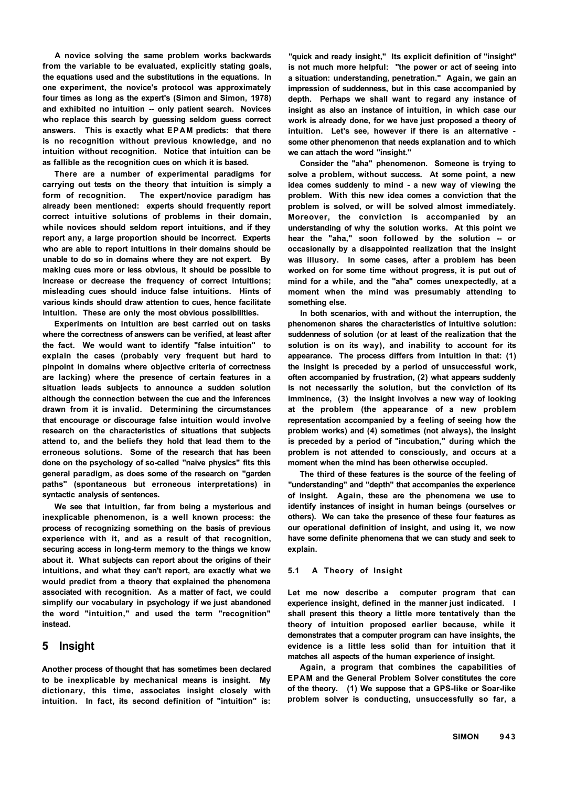**A novice solving the same problem works backwards from the variable to be evaluated, explicitly stating goals, the equations used and the substitutions in the equations. In one experiment, the novice's protocol was approximately four times as long as the expert's (Simon and Simon, 1978) and exhibited no intuition -- only patient search. Novices who replace this search by guessing seldom guess correct answers. This is exactly what EPAM predicts: that there is no recognition without previous knowledge, and no intuition without recognition. Notice that intuition can be as fallible as the recognition cues on which it is based.** 

**There are a number of experimental paradigms for carrying out tests on the theory that intuition is simply a form of recognition. The expert/novice paradigm has already been mentioned: experts should frequently report correct intuitive solutions of problems in their domain, while novices should seldom report intuitions, and if they report any, a large proportion should be incorrect. Experts who are able to report intuitions in their domains should be unable to do so in domains where they are not expert. By making cues more or less obvious, it should be possible to increase or decrease the frequency of correct intuitions; misleading cues should induce false intuitions. Hints of various kinds should draw attention to cues, hence facilitate intuition. These are only the most obvious possibilities.** 

**Experiments on intuition are best carried out on tasks where the correctness of answers can be verified, at least after the fact. We would want to identify "false intuition" to explain the cases (probably very frequent but hard to pinpoint in domains where objective criteria of correctness are lacking) where the presence of certain features in a situation leads subjects to announce a sudden solution although the connection between the cue and the inferences drawn from it is invalid. Determining the circumstances that encourage or discourage false intuition would involve research on the characteristics of situations that subjects attend to, and the beliefs they hold that lead them to the erroneous solutions. Some of the research that has been done on the psychology of so-called "naive physics" fits this general paradigm, as does some of the research on "garden paths" (spontaneous but erroneous interpretations) in syntactic analysis of sentences.** 

**We see that intuition, far from being a mysterious and inexplicable phenomenon, is a well known process: the process of recognizing something on the basis of previous experience with it, and as a result of that recognition, securing access in long-term memory to the things we know about it. What subjects can report about the origins of their intuitions, and what they can't report, are exactly what we would predict from a theory that explained the phenomena associated with recognition. As a matter of fact, we could simplify our vocabulary in psychology if we just abandoned the word "intuition," and used the term "recognition" instead.** 

## **5 Insight**

**Another process of thought that has sometimes been declared to be inexplicable by mechanical means is insight. My dictionary, this time, associates insight closely with intuition. In fact, its second definition of "intuition" is:** 

**"quick and ready insight," Its explicit definition of "insight" is not much more helpful: "the power or act of seeing into a situation: understanding, penetration." Again, we gain an impression of suddenness, but in this case accompanied by depth. Perhaps we shall want to regard any instance of insight as also an instance of intuition, in which case our work is already done, for we have just proposed a theory of intuition. Let's see, however if there is an alternative some other phenomenon that needs explanation and to which we can attach the word "insight."** 

**Consider the "aha" phenomenon. Someone is trying to solve a problem, without success. At some point, a new idea comes suddenly to mind - a new way of viewing the problem. With this new idea comes a conviction that the problem is solved, or will be solved almost immediately. Moreover, the conviction is accompanied by an understanding of why the solution works. At this point we hear the "aha," soon followed by the solution -- or occasionally by a disappointed realization that the insight was illusory. In some cases, after a problem has been worked on for some time without progress, it is put out of mind for a while, and the "aha" comes unexpectedly, at a moment when the mind was presumably attending to something else.** 

**In both scenarios, with and without the interruption, the phenomenon shares the characteristics of intuitive solution: suddenness of solution (or at least of the realization that the solution is on its way), and inability to account for its appearance. The process differs from intuition in that: (1) the insight is preceded by a period of unsuccessful work, often accompanied by frustration, (2) what appears suddenly is not necessarily the solution, but the conviction of its imminence, (3) the insight involves a new way of looking at the problem (the appearance of a new problem representation accompanied by a feeling of seeing how the problem works) and (4) sometimes (not always), the insight is preceded by a period of "incubation," during which the problem is not attended to consciously, and occurs at a moment when the mind has been otherwise occupied.** 

**The third of these features is the source of the feeling of "understanding" and "depth" that accompanies the experience of insight. Again, these are the phenomena we use to identify instances of insight in human beings (ourselves or others). We can take the presence of these four features as our operational definition of insight, and using it, we now have some definite phenomena that we can study and seek to explain.** 

#### **5.1 A Theory of Insight**

**Let me now describe a computer program that can experience insight, defined in the manner just indicated. I shall present this theory a little more tentatively than the theory of intuition proposed earlier because, while it demonstrates that a computer program can have insights, the evidence is a little less solid than for intuition that it matches all aspects of the human experience of insight.** 

**Again, a program that combines the capabilities of EPAM and the General Problem Solver constitutes the core of the theory. (1) We suppose that a GPS-like or Soar-like problem solver is conducting, unsuccessfully so far, a**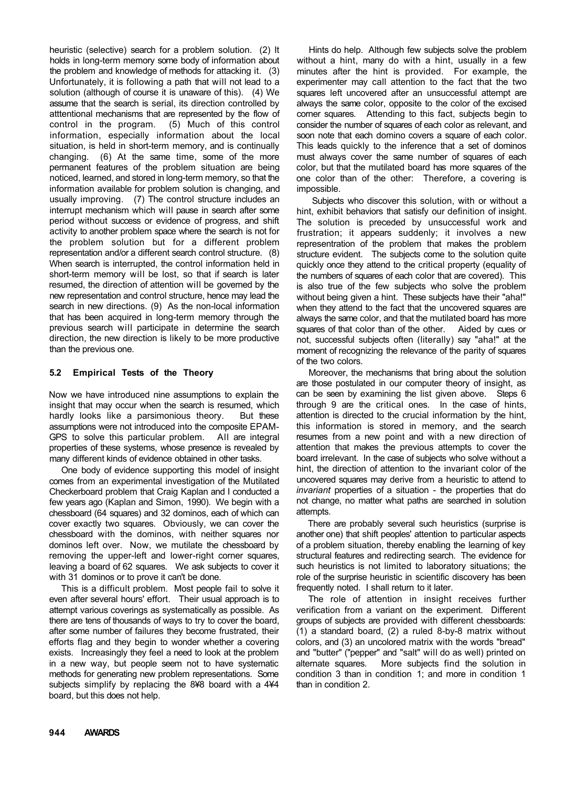heuristic (selective) search for a problem solution. (2) It holds in long-term memory some body of information about the problem and knowledge of methods for attacking it. (3) Unfortunately, it is following a path that will not lead to a solution (although of course it is unaware of this). (4) We assume that the search is serial, its direction controlled by atttentional mechanisms that are represented by the flow of control in the program. (5) Much of this control information, especially information about the local situation, is held in short-term memory, and is continually changing. (6) At the same time, some of the more permanent features of the problem situation are being noticed, learned, and stored in long-term memory, so that the information available for problem solution is changing, and usually improving. (7) The control structure includes an interrupt mechanism which will pause in search after some period without success or evidence of progress, and shift activity to another problem space where the search is not for the problem solution but for a different problem representation and/or a different search control structure. (8) When search is interrupted, the control information held in short-term memory will be lost, so that if search is later resumed, the direction of attention will be governed by the new representation and control structure, hence may lead the search in new directions. (9) As the non-local information that has been acquired in long-term memory through the previous search will participate in determine the search direction, the new direction is likely to be more productive than the previous one.

#### **5.2 Empirical Tests of the Theory**

Now we have introduced nine assumptions to explain the insight that may occur when the search is resumed, which hardly looks like a parsimonious theory. But these assumptions were not introduced into the composite EPAM-GPS to solve this particular problem. All are integral properties of these systems, whose presence is revealed by many different kinds of evidence obtained in other tasks.

One body of evidence supporting this model of insight comes from an experimental investigation of the Mutilated Checkerboard problem that Craig Kaplan and I conducted a few years ago (Kaplan and Simon, 1990). We begin with a chessboard (64 squares) and 32 dominos, each of which can cover exactly two squares. Obviously, we can cover the chessboard with the dominos, with neither squares nor dominos left over. Now, we mutilate the chessboard by removing the upper-left and lower-right corner squares, leaving a board of 62 squares. We ask subjects to cover it with 31 dominos or to prove it can't be done.

This is a difficult problem. Most people fail to solve it even after several hours' effort. Their usual approach is to attempt various coverings as systematically as possible. As there are tens of thousands of ways to try to cover the board, after some number of failures they become frustrated, their efforts flag and they begin to wonder whether a covering exists. Increasingly they feel a need to look at the problem in a new way, but people seem not to have systematic methods for generating new problem representations. Some subjects simplify by replacing the 8¥8 board with a 4¥4 board, but this does not help.

Hints do help. Although few subjects solve the problem without a hint, many do with a hint, usually in a few minutes after the hint is provided. For example, the experimenter may call attention to the fact that the two squares left uncovered after an unsuccessful attempt are always the same color, opposite to the color of the excised corner squares. Attending to this fact, subjects begin to consider the number of squares of each color as relevant, and soon note that each domino covers a square of each color. This leads quickly to the inference that a set of dominos must always cover the same number of squares of each color, but that the mutilated board has more squares of the one color than of the other: Therefore, a covering is impossible.

Subjects who discover this solution, with or without a hint, exhibit behaviors that satisfy our definition of insight. The solution is preceded by unsuccessful work and frustration; it appears suddenly; it involves a new representration of the problem that makes the problem structure evident. The subjects come to the solution quite quickly once they attend to the critical property (equality of the numbers of squares of each color that are covered). This is also true of the few subjects who solve the problem without being given a hint. These subjects have their "aha!" when they attend to the fact that the uncovered squares are always the same color, and that the mutilated board has more squares of that color than of the other. Aided by cues or not, successful subjects often (literally) say "aha!" at the moment of recognizing the relevance of the parity of squares of the two colors.

Moreover, the mechanisms that bring about the solution are those postulated in our computer theory of insight, as can be seen by examining the list given above. Steps 6 through 9 are the critical ones. In the case of hints, attention is directed to the crucial information by the hint, this information is stored in memory, and the search resumes from a new point and with a new direction of attention that makes the previous attempts to cover the board irrelevant. In the case of subjects who solve without a hint, the direction of attention to the invariant color of the uncovered squares may derive from a heuristic to attend to *invariant* properties of a situation - the properties that do not change, no matter what paths are searched in solution attempts.

There are probably several such heuristics (surprise is another one) that shift peoples' attention to particular aspects of a problem situation, thereby enabling the learning of key structural features and redirecting search. The evidence for such heuristics is not limited to laboratory situations; the role of the surprise heuristic in scientific discovery has been frequently noted. I shall return to it later.

The role of attention in insight receives further verification from a variant on the experiment. Different groups of subjects are provided with different chessboards: (1) a standard board, (2) a ruled 8-by-8 matrix without colors, and (3) an uncolored matrix with the words "bread" and "butter" ("pepper" and "salt" will do as well) printed on alternate squares. More subjects find the solution in condition 3 than in condition 1; and more in condition 1 than in condition 2.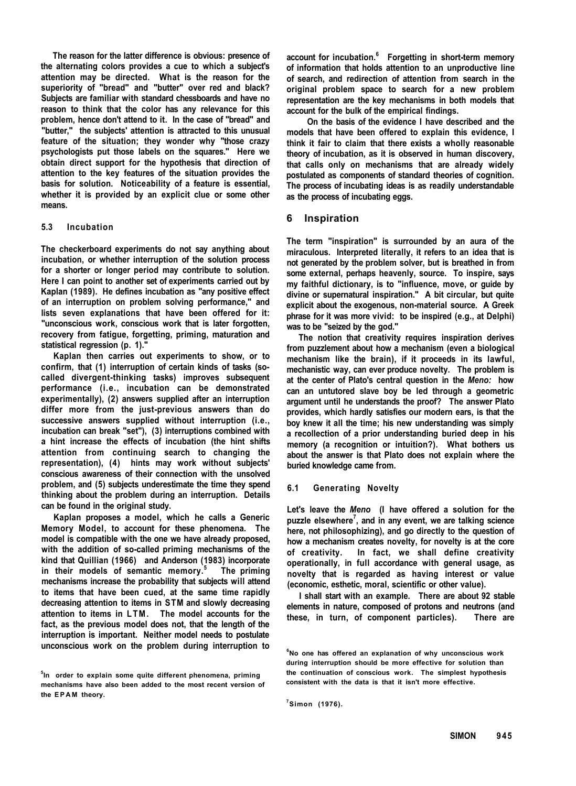**The reason for the latter difference is obvious: presence of the alternating colors provides a cue to which a subject's attention may be directed. What is the reason for the superiority of "bread" and "butter" over red and black? Subjects are familiar with standard chessboards and have no reason to think that the color has any relevance for this problem, hence don't attend to it. In the case of "bread" and "butter," the subjects' attention is attracted to this unusual feature of the situation; they wonder why "those crazy psychologists put those labels on the squares." Here we obtain direct support for the hypothesis that direction of attention to the key features of the situation provides the basis for solution. Noticeability of a feature is essential, whether it is provided by an explicit clue or some other means.** 

#### **5.3 Incubation**

**The checkerboard experiments do not say anything about incubation, or whether interruption of the solution process for a shorter or longer period may contribute to solution. Here I can point to another set of experiments carried out by Kaplan (1989). He defines incubation as "any positive effect of an interruption on problem solving performance," and lists seven explanations that have been offered for it: "unconscious work, conscious work that is later forgotten, recovery from fatigue, forgetting, priming, maturation and statistical regression (p. 1)."** 

**Kaplan then carries out experiments to show, or to confirm, that (1) interruption of certain kinds of tasks (socalled divergent-thinking tasks) improves subsequent performance (i.e., incubation can be demonstrated experimentally), (2) answers supplied after an interruption differ more from the just-previous answers than do successive answers supplied without interruption (i.e., incubation can break "set"), (3) interruptions combined with a hint increase the effects of incubation (the hint shifts attention from continuing search to changing the representation), (4) hints may work without subjects' conscious awareness of their connection with the unsolved problem, and (5) subjects underestimate the time they spend thinking about the problem during an interruption. Details can be found in the original study.** 

**Kaplan proposes a model, which he calls a Generic Memory Model, to account for these phenomena. The model is compatible with the one we have already proposed, with the addition of so-called priming mechanisms of the kind that Quillian (1966) and Anderson (1983) incorporate in their models of semantic memory.<sup>5</sup> The priming mechanisms increase the probability that subjects will attend to items that have been cued, at the same time rapidly decreasing attention to items in STM and slowly decreasing attention to items in LTM . The model accounts for the fact, as the previous model does not, that the length of the interruption is important. Neither model needs to postulate unconscious work on the problem during interruption to** 

**account for incubation.<sup>6</sup> Forgetting in short-term memory of information that holds attention to an unproductive line of search, and redirection of attention from search in the original problem space to search for a new problem representation are the key mechanisms in both models that account for the bulk of the empirical findings.** 

**On the basis of the evidence I have described and the models that have been offered to explain this evidence, I think it fair to claim that there exists a wholly reasonable theory of incubation, as it is observed in human discovery, that calls only on mechanisms that are already widely postulated as components of standard theories of cognition. The process of incubating ideas is as readily understandable as the process of incubating eggs.** 

#### **6 Inspiration**

**The term "inspiration" is surrounded by an aura of the miraculous. Interpreted literally, it refers to an idea that is not generated by the problem solver, but is breathed in from some external, perhaps heavenly, source. To inspire, says my faithful dictionary, is to "influence, move, or guide by divine or supernatural inspiration." A bit circular, but quite explicit about the exogenous, non-material source. A Greek phrase for it was more vivid: to be inspired (e.g., at Delphi) was to be "seized by the god."** 

**The notion that creativity requires inspiration derives from puzzlement about how a mechanism (even a biological mechanism like the brain), if it proceeds in its lawful, mechanistic way, can ever produce novelty. The problem is at the center of Plato's central question in the** *Meno:* **how can an untutored slave boy be led through a geometric argument until he understands the proof? The answer Plato provides, which hardly satisfies our modern ears, is that the boy knew it all the time; his new understanding was simply a recollection of a prior understanding buried deep in his memory (a recognition or intuition?). What bothers us about the answer is that Plato does not explain where the buried knowledge came from.** 

#### **6.1 Generating Novelty**

**Let's leave the** *Meno* **(I have offered a solution for the puzzle elsewhere<sup>7</sup> , and in any event, we are talking science here, not philosophizing), and go directly to the question of how a mechanism creates novelty, for novelty is at the core of creativity. In fact, we shall define creativity operationally, in full accordance with general usage, as novelty that is regarded as having interest or value (economic, esthetic, moral, scientific or other value).** 

**I shall start with an example. There are about 92 stable elements in nature, composed of protons and neutrons (and these, in turn, of component particles). There are** 

**<sup>7</sup>Simon (1976).** 

**<sup>5</sup> In order to explain some quite different phenomena, priming mechanisms have also been added to the most recent version of the EPA M theory.** 

**<sup>6</sup>No one has offered an explanation of why unconscious work during interruption should be more effective for solution than the continuation of conscious work. The simplest hypothesis consistent with the data is that it isn't more effective.**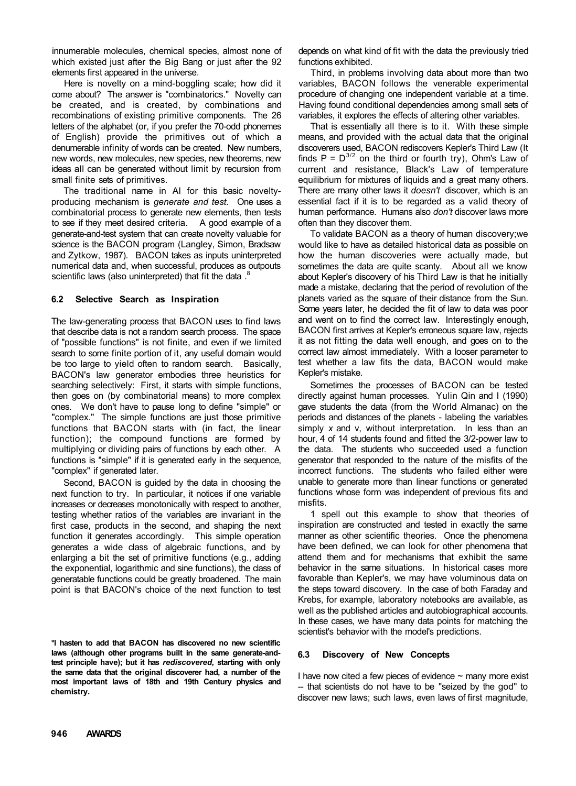innumerable molecules, chemical species, almost none of which existed just after the Big Bang or just after the 92 elements first appeared in the universe.

Here is novelty on a mind-boggling scale; how did it come about? The answer is "combinatorics." Novelty can be created, and is created, by combinations and recombinations of existing primitive components. The 26 letters of the alphabet (or, if you prefer the 70-odd phonemes of English) provide the primitives out of which a denumerable infinity of words can be created. New numbers, new words, new molecules, new species, new theorems, new ideas all can be generated without limit by recursion from small finite sets of primitives.

The traditional name in AI for this basic noveltyproducing mechanism is *generate and test.* One uses a combinatorial process to generate new elements, then tests to see if they meet desired criteria. A good example of a generate-and-test system that can create novelty valuable for science is the BACON program (Langley, Simon, Bradsaw and Zytkow, 1987). BACON takes as inputs uninterpreted numerical data and, when successful, produces as outpouts scientific laws (also uninterpreted) that fit the data .<sup>8</sup>

#### **6.2 Selective Search as Inspiration**

The law-generating process that BACON uses to find laws that describe data is not a random search process. The space of "possible functions" is not finite, and even if we limited search to some finite portion of it, any useful domain would be too large to vield often to random search. Basically, BACON's law generator embodies three heuristics for searching selectively: First, it starts with simple functions, then goes on (by combinatorial means) to more complex ones. We don't have to pause long to define "simple" or "complex." The simple functions are just those primitive functions that BACON starts with (in fact, the linear function); the compound functions are formed by multiplying or dividing pairs of functions by each other. A functions is "simple" if it is generated early in the sequence, "complex" if generated later.

Second, BACON is guided by the data in choosing the next function to try. In particular, it notices if one variable increases or decreases monotonically with respect to another, testing whether ratios of the variables are invariant in the first case, products in the second, and shaping the next function it generates accordingly. This simple operation generates a wide class of algebraic functions, and by enlarging a bit the set of primitive functions (e.g., adding the exponential, logarithmic and sine functions), the class of generatable functions could be greatly broadened. The main point is that BACON's choice of the next function to test

**°I hasten to add that BACON has discovered no new scientific laws (although other programs built in the same generate-andtest principle have); but it has** *rediscovered,* **starting with only the same data that the original discoverer had, a number of the most important laws of 18th and 19th Century physics and chemistry.** 

depends on what kind of fit with the data the previously tried functions exhibited.

Third, in problems involving data about more than two variables, BACON follows the venerable experimental procedure of changing one independent variable at a time. Having found conditional dependencies among small sets of variables, it explores the effects of altering other variables.

That is essentially all there is to it. With these simple means, and provided with the actual data that the original discoverers used, BACON rediscovers Kepler's Third Law (It finds  $P = D^{3/2}$  on the third or fourth try), Ohm's Law of current and resistance, Black's Law of temperature equilibrium for mixtures of liquids and a great many others. There are many other laws it *doesn't* discover, which is an essential fact if it is to be regarded as a valid theory of human performance. Humans also *don't* discover laws more often than they discover them.

To validate BACON as a theory of human discovery;we would like to have as detailed historical data as possible on how the human discoveries were actually made, but sometimes the data are quite scanty. About all we know about Kepler's discovery of his Third Law is that he initially made a mistake, declaring that the period of revolution of the planets varied as the square of their distance from the Sun. Some years later, he decided the fit of law to data was poor and went on to find the correct law. Interestingly enough, BACON first arrives at Kepler's erroneous square law, rejects it as not fitting the data well enough, and goes on to the correct law almost immediately. With a looser parameter to test whether a law fits the data, BACON would make Kepler's mistake.

Sometimes the processes of BACON can be tested directly against human processes. Yulin Qin and I (1990) gave students the data (from the World Almanac) on the periods and distances of the planets - labeling the variables simply *x* and v, without interpretation. In less than an hour, 4 of 14 students found and fitted the 3/2-power law to the data. The students who succeeded used a function generator that responded to the nature of the misfits of the incorrect functions. The students who failed either were unable to generate more than linear functions or generated functions whose form was independent of previous fits and misfits.

1 spell out this example to show that theories of inspiration are constructed and tested in exactly the same manner as other scientific theories. Once the phenomena have been defined, we can look for other phenomena that attend them and for mechanisms that exhibit the same behavior in the same situations. In historical cases more favorable than Kepler's, we may have voluminous data on the steps toward discovery. In the case of both Faraday and Krebs, for example, laboratory notebooks are available, as well as the published articles and autobiographical accounts. In these cases, we have many data points for matching the scientist's behavior with the model's predictions.

## **6.3 Discovery of New Concepts**

I have now cited a few pieces of evidence  $\sim$  many more exist -- that scientists do not have to be "seized by the god" to discover new laws; such laws, even laws of first magnitude,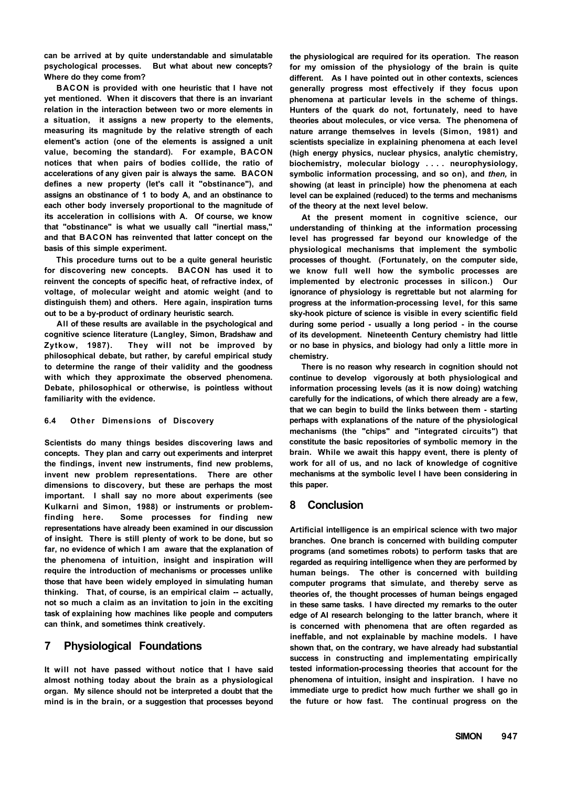**can be arrived at by quite understandable and simulatable psychological processes. But what about new concepts? Where do they come from?** 

**BACON is provided with one heuristic that I have not yet mentioned. When it discovers that there is an invariant relation in the interaction between two or more elements in a situation, it assigns a new property to the elements, measuring its magnitude by the relative strength of each element's action (one of the elements is assigned a unit value, becoming the standard). For example, BACON notices that when pairs of bodies collide, the ratio of accelerations of any given pair is always the same. BACON defines a new property (let's call it "obstinance"), and assigns an obstinance of 1 to body A, and an obstinance to each other body inversely proportional to the magnitude of its acceleration in collisions with A. Of course, we know that "obstinance" is what we usually call "inertial mass," and that BACON has reinvented that latter concept on the basis of this simple experiment.** 

**This procedure turns out to be a quite general heuristic for discovering new concepts. BACON has used it to reinvent the concepts of specific heat, of refractive index, of voltage, of molecular weight and atomic weight (and to distinguish them) and others. Here again, inspiration turns out to be a by-product of ordinary heuristic search.** 

**All of these results are available in the psychological and cognitive science literature (Langley, Simon, Bradshaw and Zytkow, 1987). They will not be improved by philosophical debate, but rather, by careful empirical study to determine the range of their validity and the goodness with which they approximate the observed phenomena. Debate, philosophical or otherwise, is pointless without familiarity with the evidence.** 

#### **6.4 Other Dimensions of Discovery**

**Scientists do many things besides discovering laws and concepts. They plan and carry out experiments and interpret the findings, invent new instruments, find new problems, invent new problem representations. There are other dimensions to discovery, but these are perhaps the most important. I shall say no more about experiments (see Kulkarni and Simon, 1988) or instruments or problemfinding here. Some processes for finding new representations have already been examined in our discussion of insight. There is still plenty of work to be done, but so far, no evidence of which I am aware that the explanation of the phenomena of intuition, insight and inspiration will require the introduction of mechanisms or processes unlike those that have been widely employed in simulating human thinking. That, of course, is an empirical claim -- actually, not so much a claim as an invitation to join in the exciting task of explaining how machines like people and computers can think, and sometimes think creatively.** 

#### **7 Physiological Foundations**

**It will not have passed without notice that I have said almost nothing today about the brain as a physiological organ. My silence should not be interpreted a doubt that the mind is in the brain, or a suggestion that processes beyond**  **the physiological are required for its operation. The reason for my omission of the physiology of the brain is quite different. As I have pointed out in other contexts, sciences generally progress most effectively if they focus upon phenomena at particular levels in the scheme of things. Hunters of the quark do not, fortunately, need to have theories about molecules, or vice versa. The phenomena of nature arrange themselves in levels (Simon, 1981) and scientists specialize in explaining phenomena at each level (high energy physics, nuclear physics, analytic chemistry, biochemistry, molecular biology ... . neurophysiology, symbolic information processing, and so on), and** *then,* **in showing (at least in principle) how the phenomena at each level can be explained (reduced) to the terms and mechanisms of the theory at the next level below.** 

**At the present moment in cognitive science, our understanding of thinking at the information processing level has progressed far beyond our knowledge of the physiological mechanisms that implement the symbolic processes of thought. (Fortunately, on the computer side, we know full well how the symbolic processes are implemented by electronic processes in silicon.) Our ignorance of physiology is regrettable but not alarming for progress at the information-processing level, for this same sky-hook picture of science is visible in every scientific field during some period - usually a long period - in the course of its development. Nineteenth Century chemistry had little or no base in physics, and biology had only a little more in chemistry.** 

**There is no reason why research in cognition should not continue to develop vigorously at both physiological and information processing levels (as it is now doing) watching carefully for the indications, of which there already are a few, that we can begin to build the links between them - starting perhaps with explanations of the nature of the physiological mechanisms (the "chips" and "integrated circuits") that constitute the basic repositories of symbolic memory in the brain. While we await this happy event, there is plenty of work for all of us, and no lack of knowledge of cognitive mechanisms at the symbolic level I have been considering in this paper.** 

## **8 Conclusion**

**Artificial intelligence is an empirical science with two major branches. One branch is concerned with building computer programs (and sometimes robots) to perform tasks that are regarded as requiring intelligence when they are performed by human beings. The other is concerned with building computer programs that simulate, and thereby serve as theories of, the thought processes of human beings engaged in these same tasks. I have directed my remarks to the outer edge of AI research belonging to the latter branch, where it is concerned with phenomena that are often regarded as ineffable, and not explainable by machine models. I have shown that, on the contrary, we have already had substantial success in constructing and implementating empirically tested information-processing theories that account for the phenomena of intuition, insight and inspiration. I have no immediate urge to predict how much further we shall go in the future or how fast. The continual progress on the**